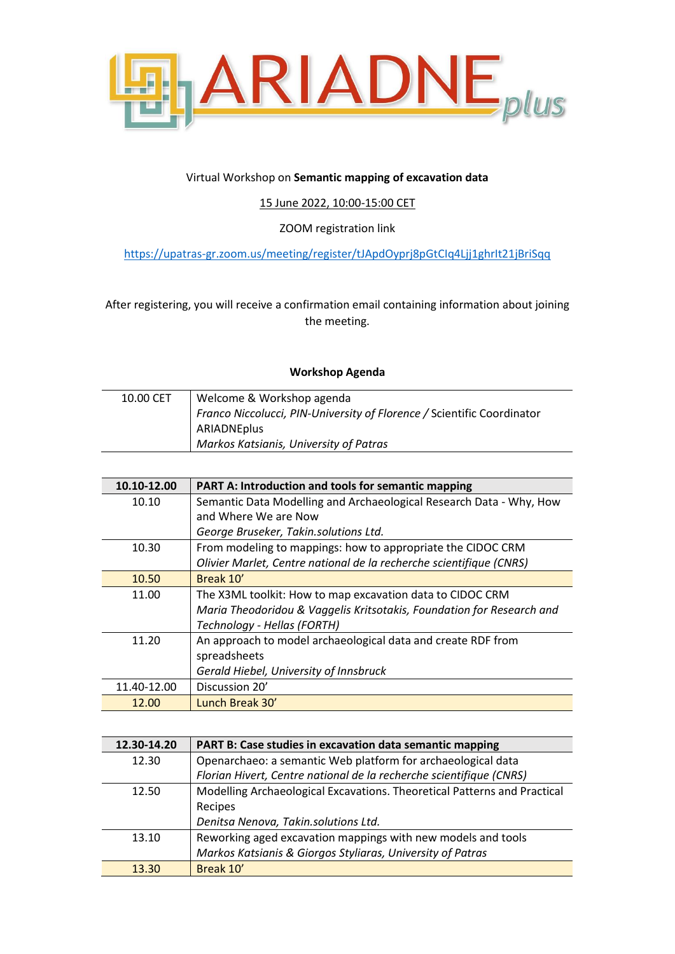

## Virtual Workshop on **Semantic mapping of excavation data**

15 June 2022, 10:00-15:00 CET

ZOOM registration link

<https://upatras-gr.zoom.us/meeting/register/tJApdOyprj8pGtCIq4Ljj1ghrIt21jBriSqq>

After registering, you will receive a confirmation email containing information about joining the meeting.

## **Workshop Agenda**

| 10.00 CET | Welcome & Workshop agenda                                              |
|-----------|------------------------------------------------------------------------|
|           | Franco Niccolucci, PIN-University of Florence / Scientific Coordinator |
|           | ARIADNEplus                                                            |
|           | Markos Katsianis, University of Patras                                 |

| 10.10-12.00 | <b>PART A: Introduction and tools for semantic mapping</b>            |
|-------------|-----------------------------------------------------------------------|
| 10.10       | Semantic Data Modelling and Archaeological Research Data - Why, How   |
|             | and Where We are Now                                                  |
|             | George Bruseker, Takin.solutions Ltd.                                 |
| 10.30       | From modeling to mappings: how to appropriate the CIDOC CRM           |
|             | Olivier Marlet, Centre national de la recherche scientifique (CNRS)   |
| 10.50       | Break 10'                                                             |
| 11.00       | The X3ML toolkit: How to map excavation data to CIDOC CRM             |
|             | Maria Theodoridou & Vaggelis Kritsotakis, Foundation for Research and |
|             | Technology - Hellas (FORTH)                                           |
| 11.20       | An approach to model archaeological data and create RDF from          |
|             | spreadsheets                                                          |
|             | Gerald Hiebel, University of Innsbruck                                |
| 11.40-12.00 | Discussion 20'                                                        |
| 12.00       | Lunch Break 30'                                                       |

| 12.30-14.20 | PART B: Case studies in excavation data semantic mapping                 |
|-------------|--------------------------------------------------------------------------|
| 12.30       | Openarchaeo: a semantic Web platform for archaeological data             |
|             | Florian Hivert, Centre national de la recherche scientifique (CNRS)      |
| 12.50       | Modelling Archaeological Excavations. Theoretical Patterns and Practical |
|             | Recipes                                                                  |
|             | Denitsa Nenova, Takin.solutions Ltd.                                     |
| 13.10       | Reworking aged excavation mappings with new models and tools             |
|             | Markos Katsianis & Giorgos Styliaras, University of Patras               |
| 13.30       | Break 10'                                                                |